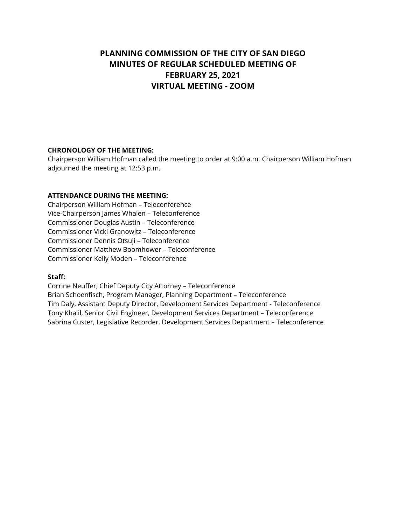# **PLANNING COMMISSION OF THE CITY OF SAN DIEGO MINUTES OF REGULAR SCHEDULED MEETING OF FEBRUARY 25, 2021 VIRTUAL MEETING - ZOOM**

# **CHRONOLOGY OF THE MEETING:**

Chairperson William Hofman called the meeting to order at 9:00 a.m. Chairperson William Hofman adjourned the meeting at 12:53 p.m.

# **ATTENDANCE DURING THE MEETING:**

Chairperson William Hofman – Teleconference Vice-Chairperson James Whalen – Teleconference Commissioner Douglas Austin – Teleconference Commissioner Vicki Granowitz – Teleconference Commissioner Dennis Otsuji – Teleconference Commissioner Matthew Boomhower – Teleconference Commissioner Kelly Moden – Teleconference

#### **Staff:**

Corrine Neuffer, Chief Deputy City Attorney – Teleconference Brian Schoenfisch, Program Manager, Planning Department – Teleconference Tim Daly, Assistant Deputy Director, Development Services Department - Teleconference Tony Khalil, Senior Civil Engineer, Development Services Department – Teleconference Sabrina Custer, Legislative Recorder, Development Services Department – Teleconference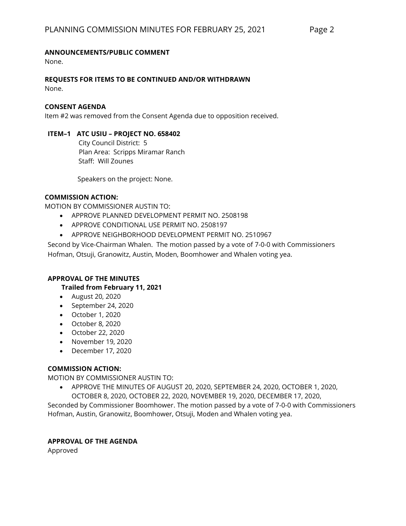# **ANNOUNCEMENTS/PUBLIC COMMENT**

None.

#### **REQUESTS FOR ITEMS TO BE CONTINUED AND/OR WITHDRAWN** None.

#### **CONSENT AGENDA**

Item #2 was removed from the Consent Agenda due to opposition received.

#### **ITEM–1 ATC USIU – PROJECT NO. 658402**

 City Council District: 5 Plan Area: Scripps Miramar Ranch Staff: Will Zounes

Speakers on the project: None.

# **COMMISSION ACTION:**

MOTION BY COMMISSIONER AUSTIN TO:

- APPROVE PLANNED DEVELOPMENT PERMIT NO. 2508198
- APPROVE CONDITIONAL USE PERMIT NO. 2508197
- APPROVE NEIGHBORHOOD DEVELOPMENT PERMIT NO. 2510967

Second by Vice-Chairman Whalen. The motion passed by a vote of 7-0-0 with Commissioners Hofman, Otsuji, Granowitz, Austin, Moden, Boomhower and Whalen voting yea.

#### **APPROVAL OF THE MINUTES**

#### **Trailed from February 11, 2021**

- August 20, 2020
- September 24, 2020
- October 1, 2020
- October 8, 2020
- October 22, 2020
- November 19, 2020
- December 17, 2020

#### **COMMISSION ACTION:**

MOTION BY COMMISSIONER AUSTIN TO:

• APPROVE THE MINUTES OF AUGUST 20, 2020, SEPTEMBER 24, 2020, OCTOBER 1, 2020, OCTOBER 8, 2020, OCTOBER 22, 2020, NOVEMBER 19, 2020, DECEMBER 17, 2020,

Seconded by Commissioner Boomhower. The motion passed by a vote of 7-0-0 with Commissioners Hofman, Austin, Granowitz, Boomhower, Otsuji, Moden and Whalen voting yea.

#### **APPROVAL OF THE AGENDA**

Approved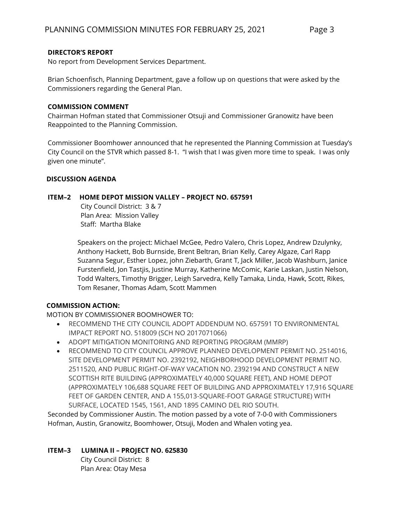#### **DIRECTOR'S REPORT**

No report from Development Services Department.

Brian Schoenfisch, Planning Department, gave a follow up on questions that were asked by the Commissioners regarding the General Plan.

#### **COMMISSION COMMENT**

Chairman Hofman stated that Commissioner Otsuji and Commissioner Granowitz have been Reappointed to the Planning Commission.

Commissioner Boomhower announced that he represented the Planning Commission at Tuesday's City Council on the STVR which passed 8-1. "I wish that I was given more time to speak. I was only given one minute".

#### **DISCUSSION AGENDA**

#### **ITEM–2 HOME DEPOT MISSION VALLEY – PROJECT NO. 657591**

City Council District: 3 & 7 Plan Area: Mission Valley Staff: Martha Blake

Speakers on the project: Michael McGee, Pedro Valero, Chris Lopez, Andrew Dzulynky, Anthony Hackett, Bob Burnside, Brent Beltran, Brian Kelly, Carey Algaze, Carl Rapp Suzanna Segur, Esther Lopez, john Ziebarth, Grant T, Jack Miller, Jacob Washburn, Janice Furstenfield, Jon Tastjis, Justine Murray, Katherine McComic, Karie Laskan, Justin Nelson, Todd Walters, Timothy Brigger, Leigh Sarvedra, Kelly Tamaka, Linda, Hawk, Scott, Rikes, Tom Resaner, Thomas Adam, Scott Mammen

#### **COMMISSION ACTION:**

MOTION BY COMMISSIONER BOOMHOWER TO:

- RECOMMEND THE CITY COUNCIL ADOPT ADDENDUM NO. 657591 TO ENVIRONMENTAL IMPACT REPORT NO. 518009 (SCH NO 2017071066)
- ADOPT MITIGATION MONITORING AND REPORTING PROGRAM (MMRP)
- RECOMMEND TO CITY COUNCIL APPROVE PLANNED DEVELOPMENT PERMIT NO. 2514016, SITE DEVELOPMENT PERMIT NO. 2392192, NEIGHBORHOOD DEVELOPMENT PERMIT NO. 2511520, AND PUBLIC RIGHT-OF-WAY VACATION NO. 2392194 AND CONSTRUCT A NEW SCOTTISH RITE BUILDING (APPROXIMATELY 40,000 SQUARE FEET), AND HOME DEPOT (APPROXIMATELY 106,688 SQUARE FEET OF BUILDING AND APPROXIMATELY 17,916 SQUARE FEET OF GARDEN CENTER, AND A 155,013-SQUARE-FOOT GARAGE STRUCTURE) WITH SURFACE, LOCATED 1545, 1561, AND 1895 CAMINO DEL RIO SOUTH.

Seconded by Commissioner Austin. The motion passed by a vote of 7-0-0 with Commissioners Hofman, Austin, Granowitz, Boomhower, Otsuji, Moden and Whalen voting yea.

#### **ITEM–3 LUMINA II – PROJECT NO. 625830**

City Council District: 8 Plan Area: Otay Mesa